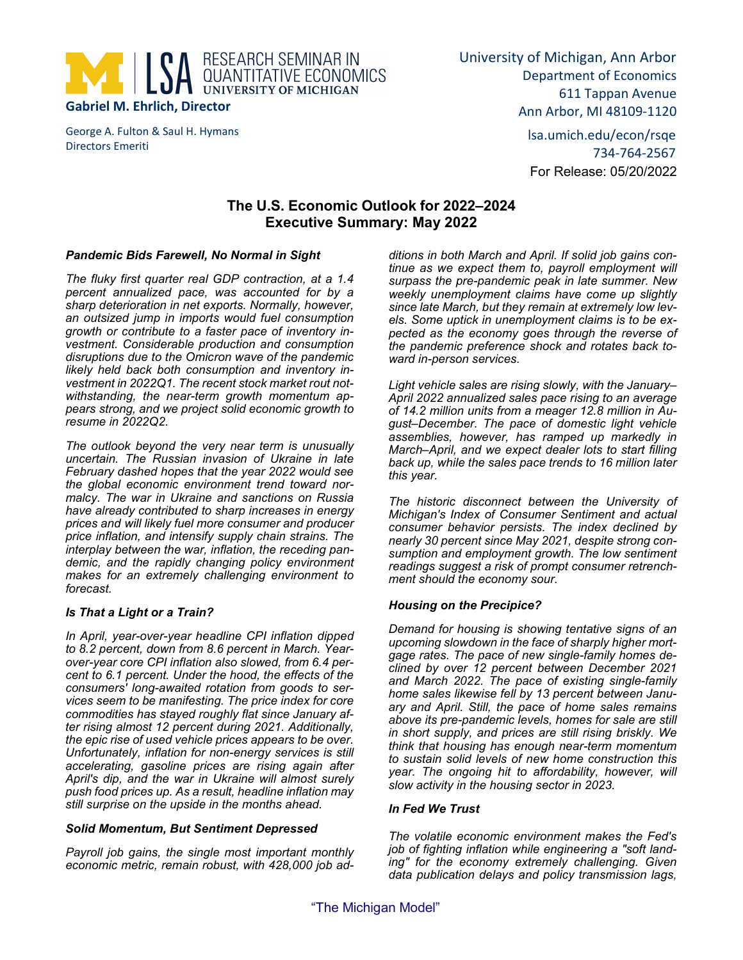

George A. Fulton & Saul H. Hymans Directors Emeriti

University of Michigan, Ann Arbor Department of Economics 611 Tappan Avenue Ann Arbor, MI 48109-1120

> lsa.umich.edu/econ/rsqe 734-764-2567 For Release: 05/20/2022

# **The U.S. Economic Outlook for 2022–2024 Executive Summary: May 2022**

## *Pandemic Bids Farewell, No Normal in Sight*

*The fluky first quarter real GDP contraction, at a 1.4 percent annualized pace, was accounted for by a sharp deterioration in net exports. Normally, however, an outsized jump in imports would fuel consumption growth or contribute to a faster pace of inventory investment. Considerable production and consumption disruptions due to the Omicron wave of the pandemic likely held back both consumption and inventory investment in 2022Q1. The recent stock market rout notwithstanding, the near-term growth momentum appears strong, and we project solid economic growth to resume in 2022Q2.* 

*The outlook beyond the very near term is unusually uncertain. The Russian invasion of Ukraine in late February dashed hopes that the year 2022 would see the global economic environment trend toward normalcy. The war in Ukraine and sanctions on Russia have already contributed to sharp increases in energy prices and will likely fuel more consumer and producer price inflation, and intensify supply chain strains. The interplay between the war, inflation, the receding pandemic, and the rapidly changing policy environment makes for an extremely challenging environment to forecast.* 

### *Is That a Light or a Train?*

*In April, year-over-year headline CPI inflation dipped to 8.2 percent, down from 8.6 percent in March. Yearover-year core CPI inflation also slowed, from 6.4 percent to 6.1 percent. Under the hood, the effects of the consumers' long-awaited rotation from goods to services seem to be manifesting. The price index for core commodities has stayed roughly flat since January after rising almost 12 percent during 2021. Additionally, the epic rise of used vehicle prices appears to be over. Unfortunately, inflation for non-energy services is still accelerating, gasoline prices are rising again after April's dip, and the war in Ukraine will almost surely push food prices up. As a result, headline inflation may still surprise on the upside in the months ahead.* 

### *Solid Momentum, But Sentiment Depressed*

*Payroll job gains, the single most important monthly economic metric, remain robust, with 428,000 job ad-* *ditions in both March and April. If solid job gains continue as we expect them to, payroll employment will surpass the pre-pandemic peak in late summer. New weekly unemployment claims have come up slightly since late March, but they remain at extremely low levels. Some uptick in unemployment claims is to be expected as the economy goes through the reverse of the pandemic preference shock and rotates back toward in-person services.* 

*Light vehicle sales are rising slowly, with the January– April 2022 annualized sales pace rising to an average of 14.2 million units from a meager 12.8 million in August–December. The pace of domestic light vehicle assemblies, however, has ramped up markedly in March–April, and we expect dealer lots to start filling back up, while the sales pace trends to 16 million later this year.*

*The historic disconnect between the University of Michigan's Index of Consumer Sentiment and actual consumer behavior persists. The index declined by nearly 30 percent since May 2021, despite strong consumption and employment growth. The low sentiment readings suggest a risk of prompt consumer retrenchment should the economy sour.*

### *Housing on the Precipice?*

*Demand for housing is showing tentative signs of an upcoming slowdown in the face of sharply higher mortgage rates. The pace of new single-family homes declined by over 12 percent between December 2021 and March 2022. The pace of existing single-family home sales likewise fell by 13 percent between January and April. Still, the pace of home sales remains above its pre-pandemic levels, homes for sale are still in short supply, and prices are still rising briskly. We think that housing has enough near-term momentum to sustain solid levels of new home construction this year. The ongoing hit to affordability, however, will slow activity in the housing sector in 2023.*

### *In Fed We Trust*

*The volatile economic environment makes the Fed's job of fighting inflation while engineering a "soft landing" for the economy extremely challenging. Given data publication delays and policy transmission lags,*